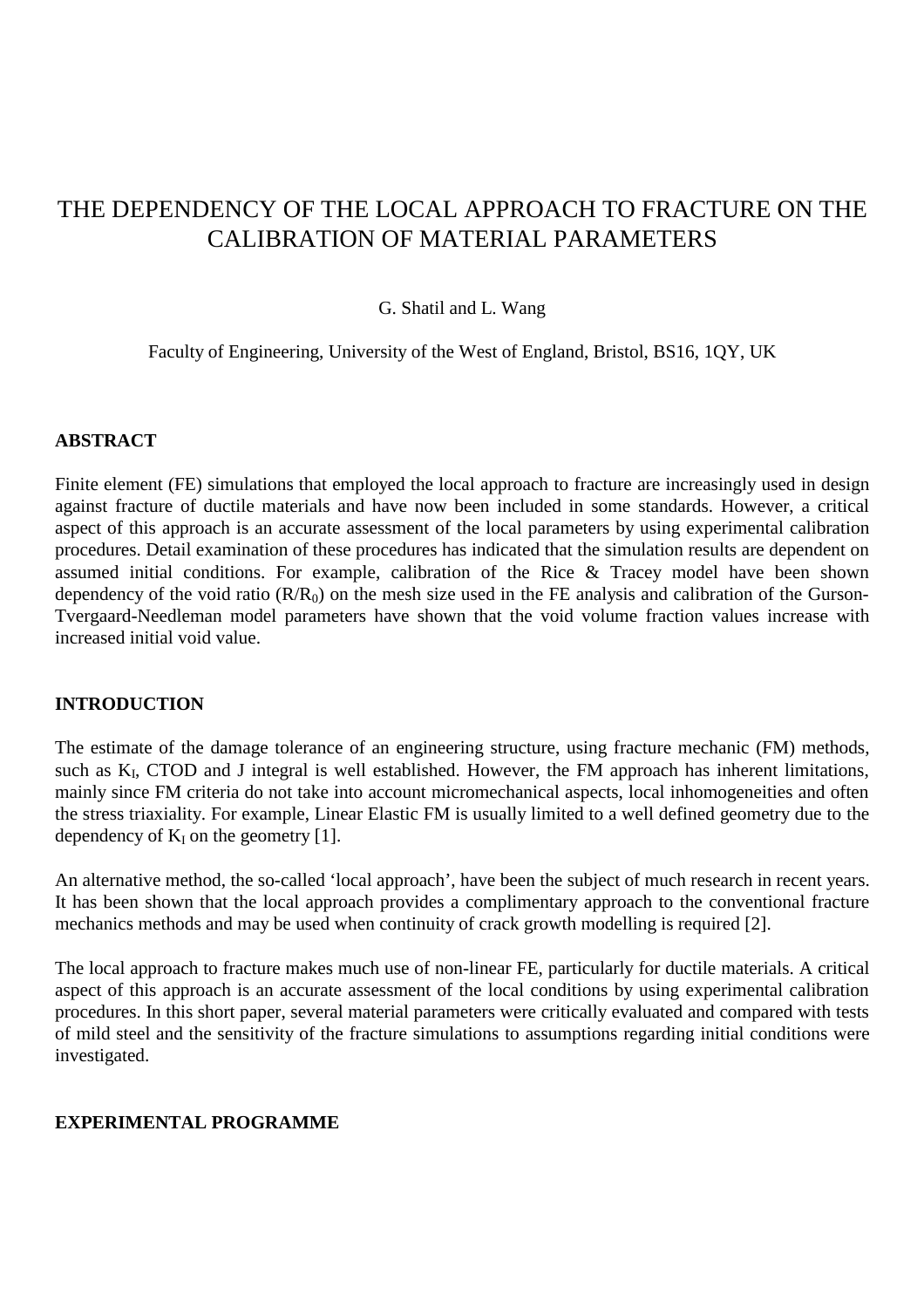# THE DEPENDENCY OF THE LOCAL APPROACH TO FRACTURE ON THE CALIBRATION OF MATERIAL PARAMETERS

# G. Shatil and L. Wang

Faculty of Engineering, University of the West of England, Bristol, BS16, 1QY, UK

## **ABSTRACT**

Finite element (FE) simulations that employed the local approach to fracture are increasingly used in design against fracture of ductile materials and have now been included in some standards. However, a critical aspect of this approach is an accurate assessment of the local parameters by using experimental calibration procedures. Detail examination of these procedures has indicated that the simulation results are dependent on assumed initial conditions. For example, calibration of the Rice & Tracey model have been shown dependency of the void ratio  $(R/R_0)$  on the mesh size used in the FE analysis and calibration of the Gurson-Tvergaard-Needleman model parameters have shown that the void volume fraction values increase with increased initial void value.

# **INTRODUCTION**

The estimate of the damage tolerance of an engineering structure, using fracture mechanic (FM) methods, such as K<sub>I</sub>, CTOD and J integral is well established. However, the FM approach has inherent limitations, mainly since FM criteria do not take into account micromechanical aspects, local inhomogeneities and often the stress triaxiality. For example, Linear Elastic FM is usually limited to a well defined geometry due to the dependency of  $K_I$  on the geometry [1].

An alternative method, the so-called 'local approach', have been the subject of much research in recent years. It has been shown that the local approach provides a complimentary approach to the conventional fracture mechanics methods and may be used when continuity of crack growth modelling is required [2].

The local approach to fracture makes much use of non-linear FE, particularly for ductile materials. A critical aspect of this approach is an accurate assessment of the local conditions by using experimental calibration procedures. In this short paper, several material parameters were critically evaluated and compared with tests of mild steel and the sensitivity of the fracture simulations to assumptions regarding initial conditions were investigated.

## **EXPERIMENTAL PROGRAMME**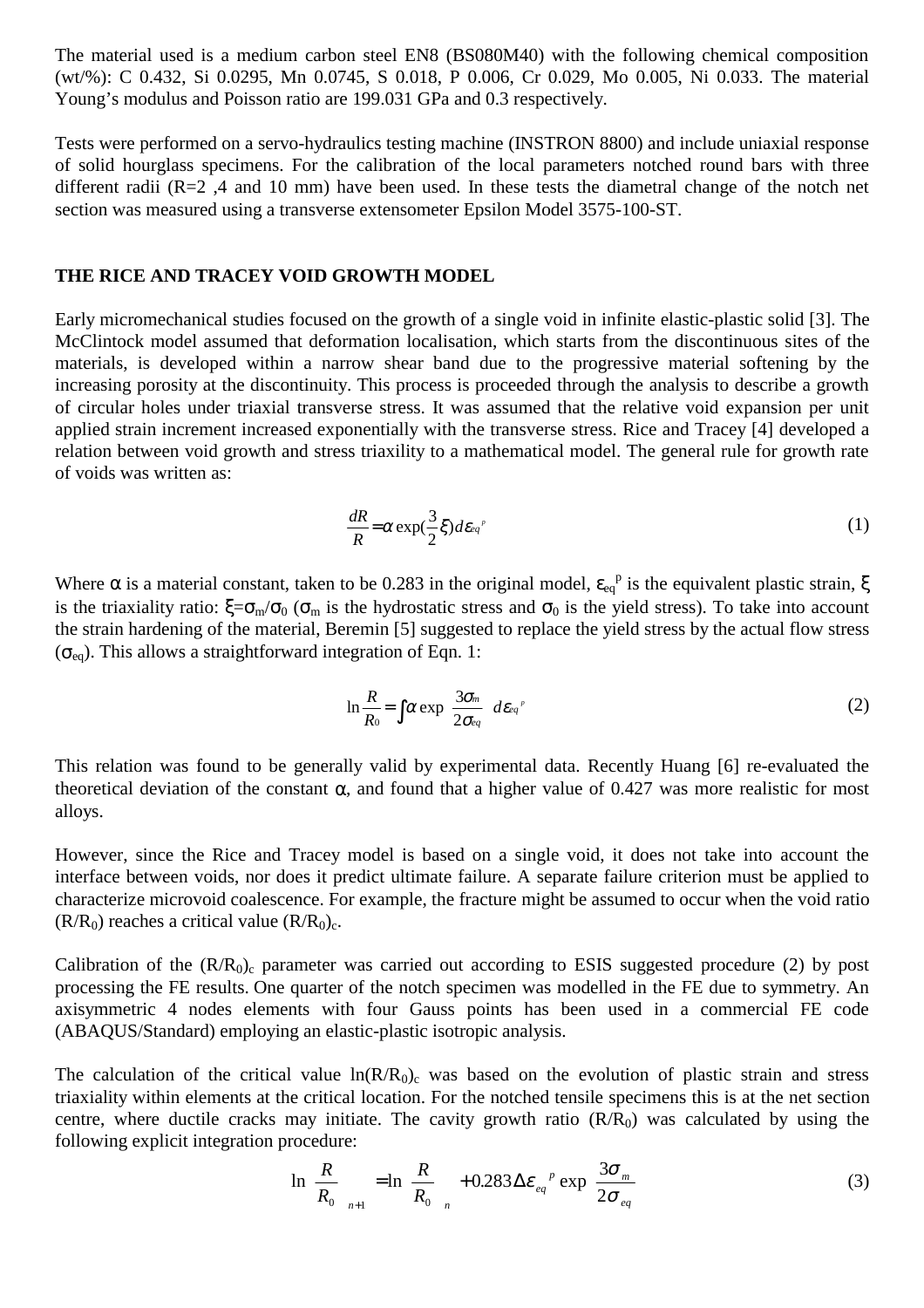The material used is a medium carbon steel EN8 (BS080M40) with the following chemical composition (wt/%): C 0.432, Si 0.0295, Mn 0.0745, S 0.018, P 0.006, Cr 0.029, Mo 0.005, Ni 0.033. The material Young's modulus and Poisson ratio are 199.031 GPa and 0.3 respectively.

Tests were performed on a servo-hydraulics testing machine (INSTRON 8800) and include uniaxial response of solid hourglass specimens. For the calibration of the local parameters notched round bars with three different radii (R=2,4 and 10 mm) have been used. In these tests the diametral change of the notch net section was measured using a transverse extensometer Epsilon Model 3575-100-ST.

## **THE RICE AND TRACEY VOID GROWTH MODEL**

Early micromechanical studies focused on the growth of a single void in infinite elastic-plastic solid [3]. The McClintock model assumed that deformation localisation, which starts from the discontinuous sites of the materials, is developed within a narrow shear band due to the progressive material softening by the increasing porosity at the discontinuity. This process is proceeded through the analysis to describe a growth of circular holes under triaxial transverse stress. It was assumed that the relative void expansion per unit applied strain increment increased exponentially with the transverse stress. Rice and Tracey [4] developed a relation between void growth and stress triaxility to a mathematical model. The general rule for growth rate of voids was written as:

$$
\frac{dR}{R} = \alpha \exp(\frac{3}{2}\xi) d\varepsilon_{q'} \tag{1}
$$

Where  $\alpha$  is a material constant, taken to be 0.283 in the original model,  $\varepsilon_{eq}^p$  is the equivalent plastic strain,  $\xi$ is the triaxiality ratio:  $\xi = \sigma_m/\sigma_0$  ( $\sigma_m$  is the hydrostatic stress and  $\sigma_0$  is the yield stress). To take into account the strain hardening of the material, Beremin [5] suggested to replace the yield stress by the actual flow stress  $(\sigma_{eq})$ . This allows a straightforward integration of Eqn. 1:

$$
\ln \frac{R}{R_0} = \int \alpha \exp \left( \frac{3\sigma_m}{2\sigma_{eq}} \right) d\epsilon_{eq} \tag{2}
$$

This relation was found to be generally valid by experimental data. Recently Huang [6] re-evaluated the theoretical deviation of the constant α, and found that a higher value of 0.427 was more realistic for most alloys.

However, since the Rice and Tracey model is based on a single void, it does not take into account the interface between voids, nor does it predict ultimate failure. A separate failure criterion must be applied to characterize microvoid coalescence. For example, the fracture might be assumed to occur when the void ratio  $(R/R_0)$  reaches a critical value  $(R/R_0)_c$ .

Calibration of the  $(R/R_0)$ <sub>c</sub> parameter was carried out according to ESIS suggested procedure (2) by post processing the FE results. One quarter of the notch specimen was modelled in the FE due to symmetry. An axisymmetric 4 nodes elements with four Gauss points has been used in a commercial FE code (ABAQUS/Standard) employing an elastic-plastic isotropic analysis.

The calculation of the critical value  $ln(R/R_0)$  was based on the evolution of plastic strain and stress triaxiality within elements at the critical location. For the notched tensile specimens this is at the net section centre, where ductile cracks may initiate. The cavity growth ratio  $(R/R_0)$  was calculated by using the following explicit integration procedure:

$$
\ln\left(\frac{R}{R_0}\right)_{n+1} = \ln\left(\frac{R}{R_0}\right)_n + 0.283 \Delta \varepsilon_{eq}^{\ \ p} \exp\left(\frac{3\sigma_m}{2\sigma_{eq}}\right) \tag{3}
$$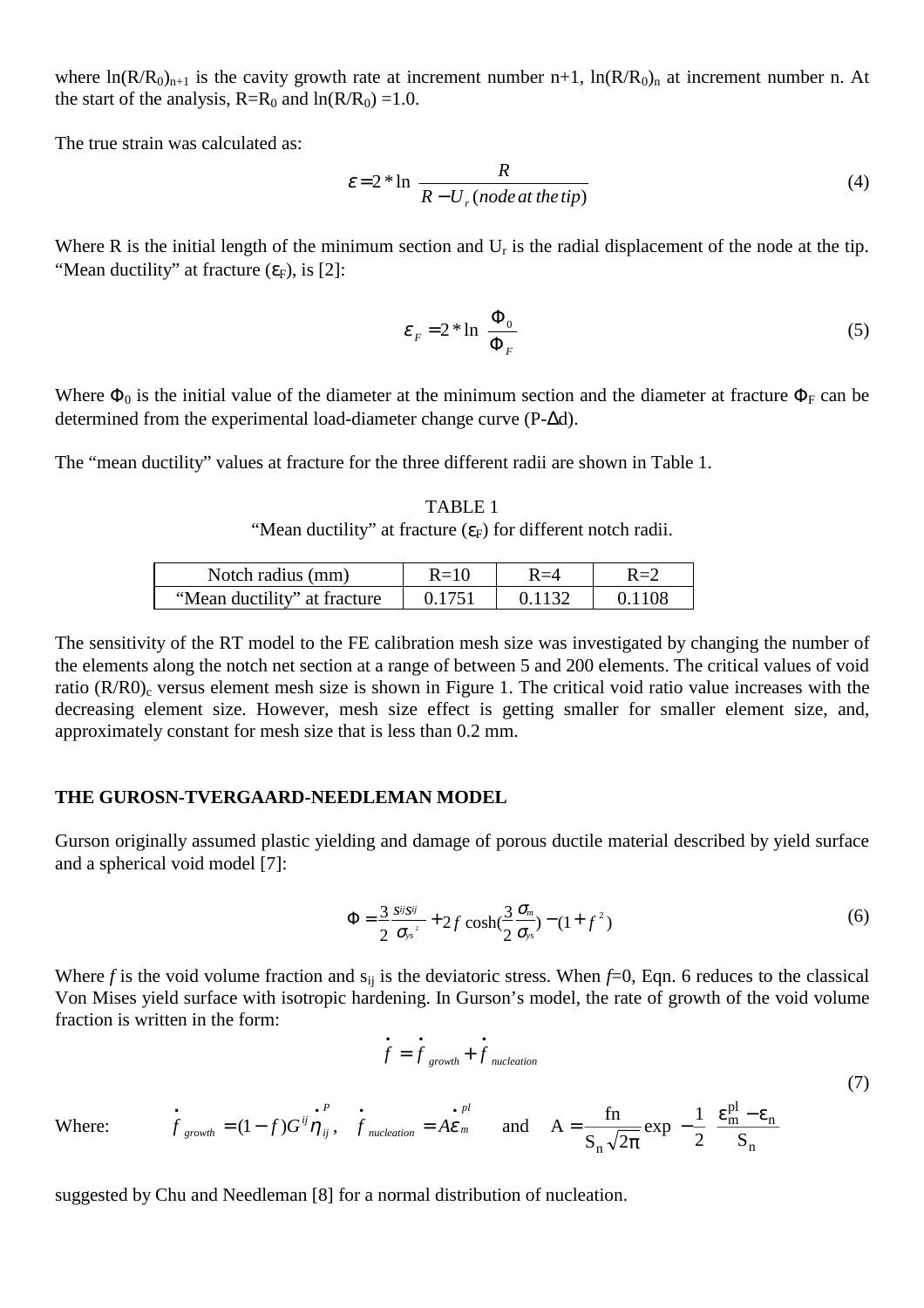where  $ln(R/R_0)_{n+1}$  is the cavity growth rate at increment number n+1,  $ln(R/R_0)_{n}$  at increment number n. At the start of the analysis,  $R=R_0$  and  $ln(R/R_0) = 1.0$ .

The true strain was calculated as:

$$
\varepsilon = 2 * \ln \left[ \frac{R}{R - U_r \left( node \, at \, the \, tip \right)} \right] \tag{4}
$$

Where R is the initial length of the minimum section and  $U_r$  is the radial displacement of the node at the tip. "Mean ductility" at fracture  $(\varepsilon_F)$ , is [2]:

$$
\varepsilon_F = 2 * \ln \left( \frac{\Phi_0}{\Phi_F} \right)
$$
 (5)

Where  $\Phi_0$  is the initial value of the diameter at the minimum section and the diameter at fracture  $\Phi_F$  can be determined from the experimental load-diameter change curve (P-∆d).

The "mean ductility" values at fracture for the three different radii are shown in Table 1.

TABLE 1 "Mean ductility" at fracture  $(\epsilon_F)$  for different notch radii.

| Notch radius (mm)            | $R=10$ | २=੭ |
|------------------------------|--------|-----|
| "Mean ductility" at fracture | 0.1751 | 108 |

The sensitivity of the RT model to the FE calibration mesh size was investigated by changing the number of the elements along the notch net section at a range of between 5 and 200 elements. The critical values of void ratio  $(R/R0)_c$  versus element mesh size is shown in Figure 1. The critical void ratio value increases with the decreasing element size. However, mesh size effect is getting smaller for smaller element size, and, approximately constant for mesh size that is less than 0.2 mm.

#### **THE GUROSN-TVERGAARD-NEEDLEMAN MODEL**

Gurson originally assumed plastic yielding and damage of porous ductile material described by yield surface and a spherical void model [7]:

$$
\Phi = \frac{3}{2} \frac{s \sin s \pi}{\sigma_{ys}^2} + 2 f \cosh(\frac{3}{2} \frac{\sigma_m}{\sigma_{ys}}) - (1 + f^2)
$$
\n(6)

Where *f* is the void volume fraction and  $s_{ii}$  is the deviatoric stress. When  $f=0$ , Eqn. 6 reduces to the classical Von Mises yield surface with isotropic hardening. In Gurson's model, the rate of growth of the void volume fraction is written in the form:

$$
\dot{f} = \dot{f}_{growth} + \dot{f}_{nucleation}
$$
\n(7)

Where: 
$$
\vec{f}_{growth} = (1 - f)G^{ij}\vec{\eta}_{ij}
$$
,  $\vec{f}_{nucleation} = A\vec{\varepsilon}_m$  and  $A = \frac{\text{fn}}{S_n\sqrt{2\pi}}\exp\left[-\frac{1}{2}\left(\frac{\varepsilon_m^{\text{pl}} - \varepsilon_n}{S_n}\right)\right]$ 

suggested by Chu and Needleman [8] for a normal distribution of nucleation.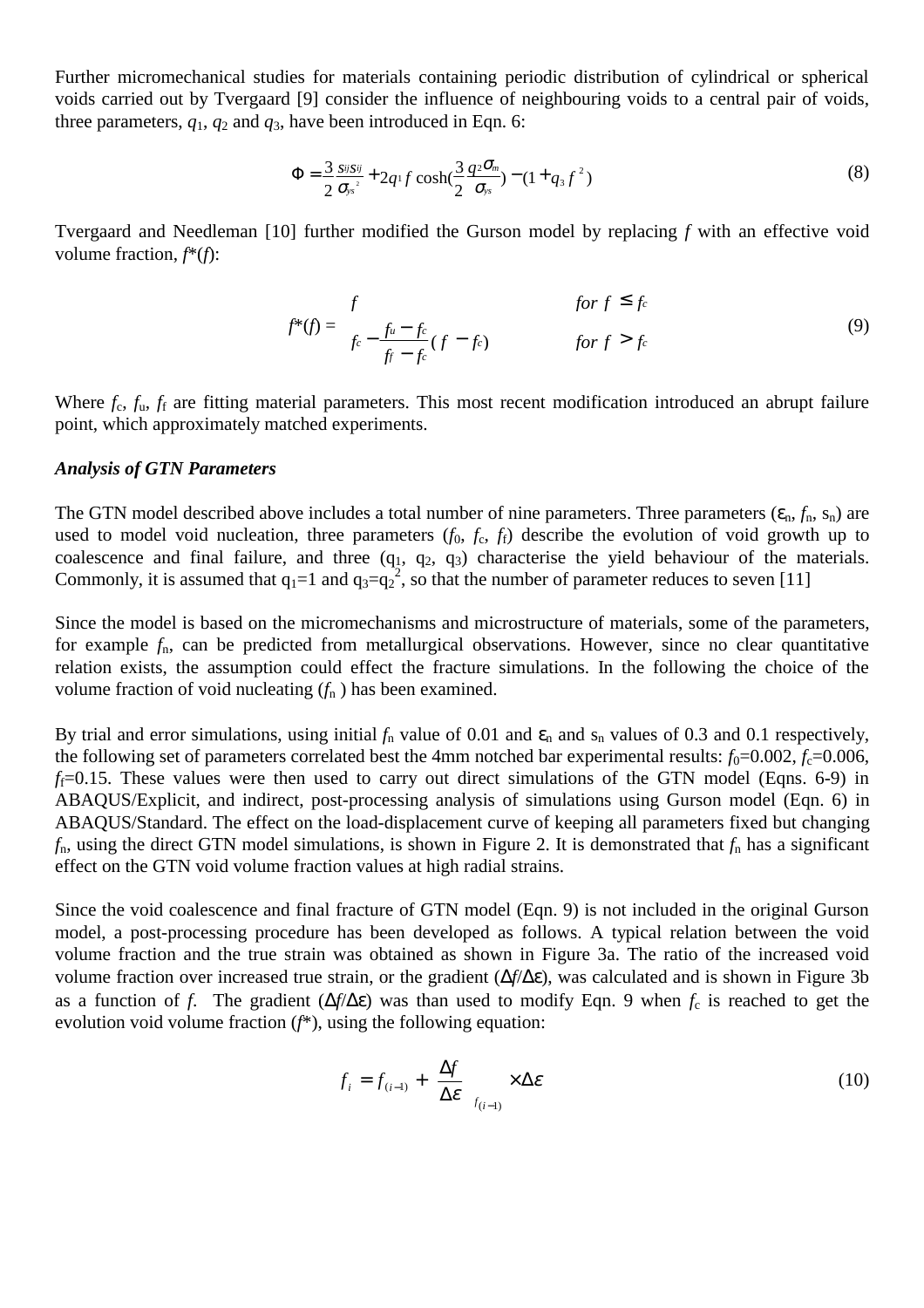Further micromechanical studies for materials containing periodic distribution of cylindrical or spherical voids carried out by Tvergaard [9] consider the influence of neighbouring voids to a central pair of voids, three parameters,  $q_1$ ,  $q_2$  and  $q_3$ , have been introduced in Eqn. 6:

$$
\Phi = \frac{3}{2} \frac{s^{ij} s^{ij}}{\sigma_{ys}^{2}} + 2q^{1} f \cosh(\frac{3}{2} \frac{q^{2} \sigma_{ms}}{\sigma_{ys}}) - (1 + q_{3} f^{2})
$$
\n(8)

Tvergaard and Needleman [10] further modified the Gurson model by replacing *f* with an effective void volume fraction, *f*\*(*f*):

$$
f^*(f) = \begin{cases} f & \text{for } f \le f_c \\ f_c - \frac{f_u - f_c}{f_f - f_c} (f - f_c) & \text{for } f > f_c \end{cases}
$$
(9)

Where  $f_c$ ,  $f_u$ ,  $f_f$  are fitting material parameters. This most recent modification introduced an abrupt failure point, which approximately matched experiments.

#### *Analysis of GTN Parameters*

The GTN model described above includes a total number of nine parameters. Three parameters  $(\epsilon_n, f_n, s_n)$  are used to model void nucleation, three parameters  $(f_0, f_c, f_f)$  describe the evolution of void growth up to coalescence and final failure, and three  $(q_1, q_2, q_3)$  characterise the yield behaviour of the materials. Commonly, it is assumed that  $q_1=1$  and  $q_3=q_2^2$ , so that the number of parameter reduces to seven [11]

Since the model is based on the micromechanisms and microstructure of materials, some of the parameters, for example *f*n, can be predicted from metallurgical observations. However, since no clear quantitative relation exists, the assumption could effect the fracture simulations. In the following the choice of the volume fraction of void nucleating  $(f_n)$  has been examined.

By trial and error simulations, using initial  $f_n$  value of 0.01 and  $\varepsilon_n$  and  $s_n$  values of 0.3 and 0.1 respectively, the following set of parameters correlated best the 4mm notched bar experimental results:  $f_0=0.002$ ,  $f_c=0.006$ ,  $f_f=0.15$ . These values were then used to carry out direct simulations of the GTN model (Eqns. 6-9) in ABAQUS/Explicit, and indirect, post-processing analysis of simulations using Gurson model (Eqn. 6) in ABAQUS/Standard. The effect on the load-displacement curve of keeping all parameters fixed but changing  $f_n$ , using the direct GTN model simulations, is shown in Figure 2. It is demonstrated that  $f_n$  has a significant effect on the GTN void volume fraction values at high radial strains.

Since the void coalescence and final fracture of GTN model (Eqn. 9) is not included in the original Gurson model, a post-processing procedure has been developed as follows. A typical relation between the void volume fraction and the true strain was obtained as shown in Figure 3a. The ratio of the increased void volume fraction over increased true strain, or the gradient (∆*f*/∆ε), was calculated and is shown in Figure 3b as a function of *f*. The gradient (∆*f*/∆ε) was than used to modify Eqn. 9 when *f*c is reached to get the evolution void volume fraction (*f*\*), using the following equation:

$$
f_i = f_{(i-1)} + \left(\frac{\Delta f}{\Delta \varepsilon}\right)_{f_{(i-1)}} \times \Delta \varepsilon
$$
 (10)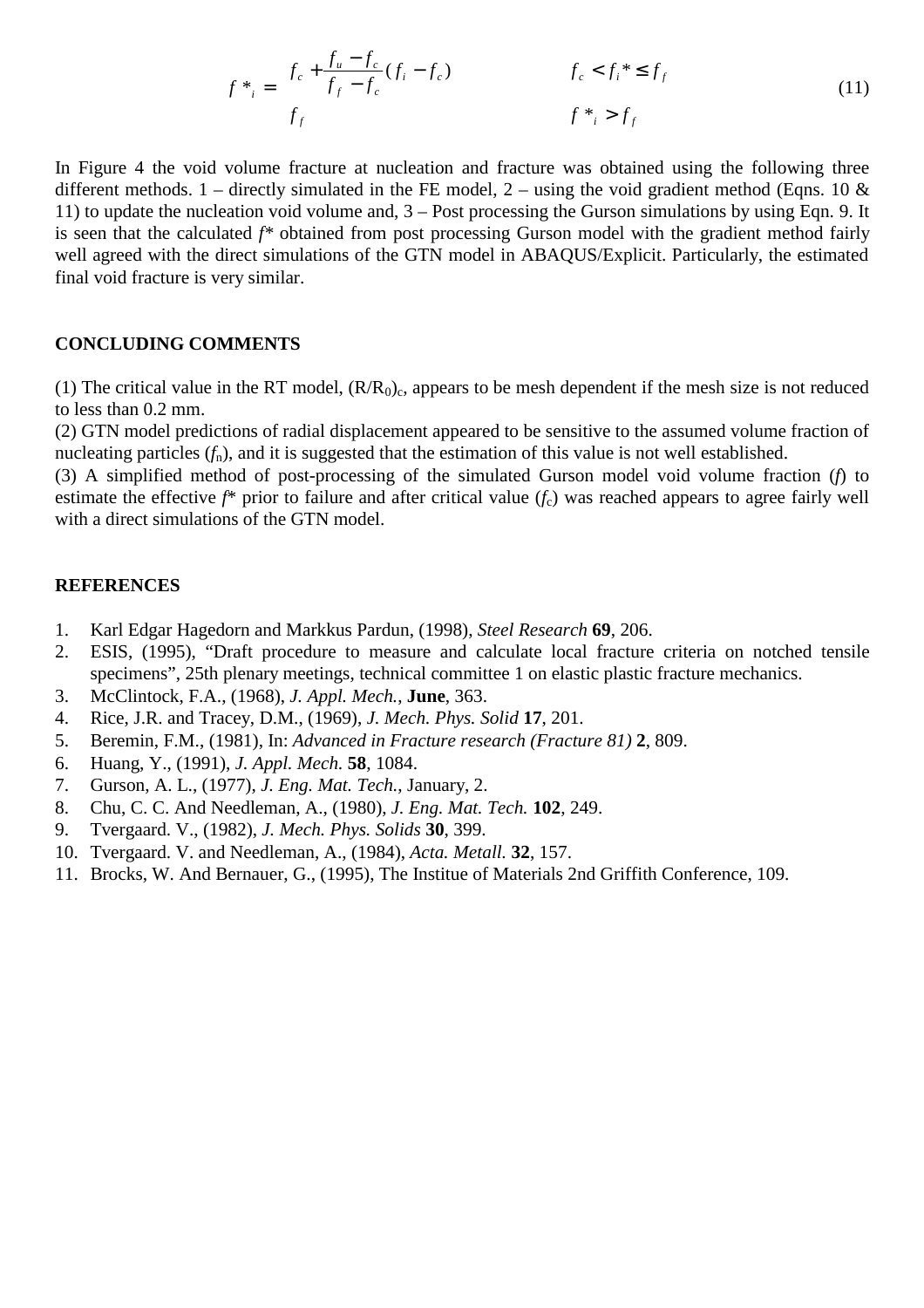$$
f^*_{i} = \begin{cases} f_c + \frac{f_u - f_c}{f_f - f_c} (f_i - f_c) & f_c < f_i^* \le f_f \\ f_f & f^*_{i} > f_f \end{cases}
$$
(11)

In Figure 4 the void volume fracture at nucleation and fracture was obtained using the following three different methods. 1 – directly simulated in the FE model, 2 – using the void gradient method (Eqns. 10  $\&$ 11) to update the nucleation void volume and, 3 – Post processing the Gurson simulations by using Eqn. 9. It is seen that the calculated *f\** obtained from post processing Gurson model with the gradient method fairly well agreed with the direct simulations of the GTN model in ABAQUS/Explicit. Particularly, the estimated final void fracture is very similar.

### **CONCLUDING COMMENTS**

(1) The critical value in the RT model,  $(R/R<sub>0</sub>)<sub>c</sub>$ , appears to be mesh dependent if the mesh size is not reduced to less than 0.2 mm.

(2) GTN model predictions of radial displacement appeared to be sensitive to the assumed volume fraction of nucleating particles ( $f_n$ ), and it is suggested that the estimation of this value is not well established.

(3) A simplified method of post-processing of the simulated Gurson model void volume fraction (*f*) to estimate the effective *f*\* prior to failure and after critical value (*f<sub>c</sub>*) was reached appears to agree fairly well with a direct simulations of the GTN model.

#### **REFERENCES**

- 1. Karl Edgar Hagedorn and Markkus Pardun, (1998), *Steel Research* **69**, 206.
- 2. ESIS, (1995), "Draft procedure to measure and calculate local fracture criteria on notched tensile specimens", 25th plenary meetings, technical committee 1 on elastic plastic fracture mechanics.
- 3. McClintock, F.A., (1968), *J. Appl. Mech.*, **June**, 363.
- 4. Rice, J.R. and Tracey, D.M., (1969), *J. Mech. Phys. Solid* **17**, 201.
- 5. Beremin, F.M., (1981), In: *Advanced in Fracture research (Fracture 81)* **2**, 809.
- 6. Huang, Y., (1991), *J. Appl. Mech.* **58**, 1084.
- 7. Gurson, A. L., (1977), *J. Eng. Mat. Tech.*, January, 2.
- 8. Chu, C. C. And Needleman, A., (1980), *J. Eng. Mat. Tech.* **102**, 249.
- 9. Tvergaard. V., (1982), *J. Mech. Phys. Solids* **30**, 399.
- 10. Tvergaard. V. and Needleman, A., (1984), *Acta. Metall.* **32**, 157.
- 11. Brocks, W. And Bernauer, G., (1995), The Institue of Materials 2nd Griffith Conference, 109.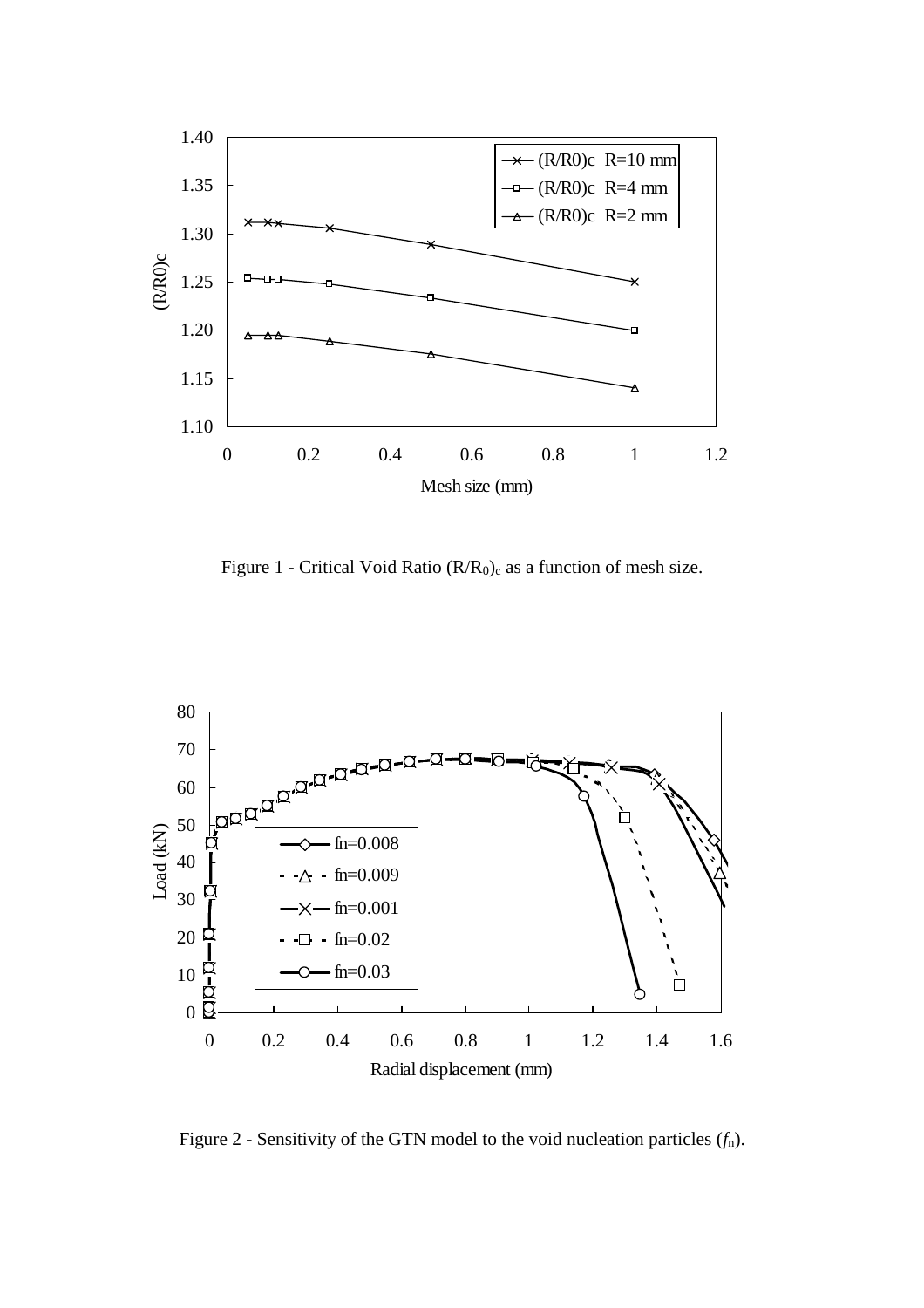

Figure 1 - Critical Void Ratio  $(R/R_0)_c$  as a function of mesh size.



Figure 2 - Sensitivity of the GTN model to the void nucleation particles (*f*n).